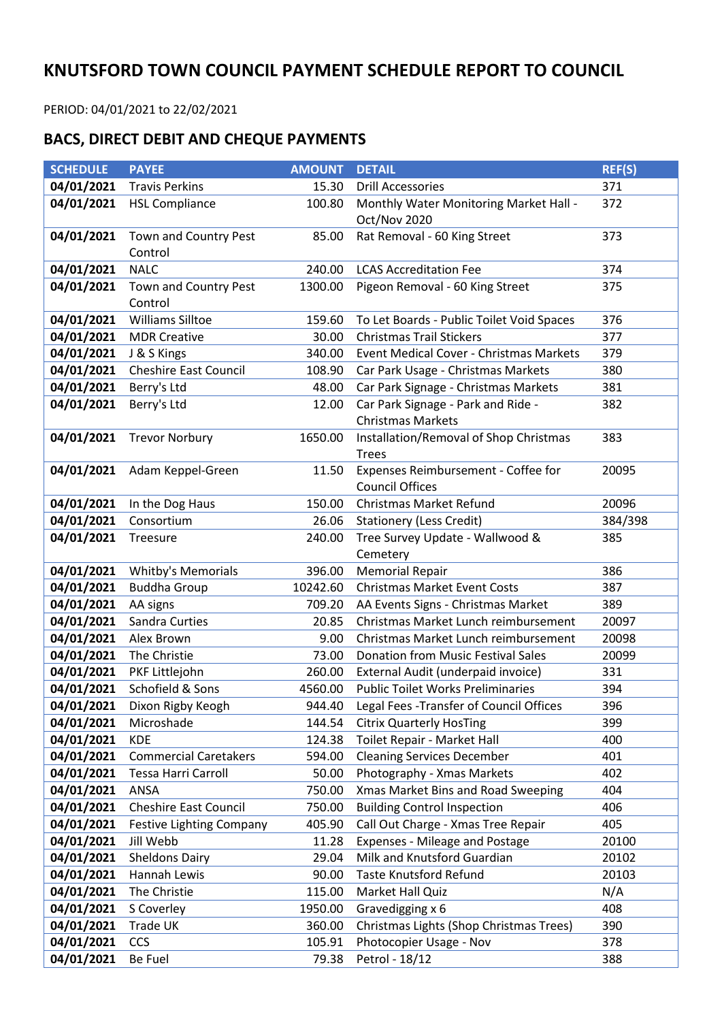## **KNUTSFORD TOWN COUNCIL PAYMENT SCHEDULE REPORT TO COUNCIL**

PERIOD: 04/01/2021 to 22/02/2021

## **BACS, DIRECT DEBIT AND CHEQUE PAYMENTS**

| <b>SCHEDULE</b>          | <b>PAYEE</b>                     | <b>AMOUNT</b>    | <b>DETAIL</b>                                                          | <b>REF(S)</b>  |
|--------------------------|----------------------------------|------------------|------------------------------------------------------------------------|----------------|
| 04/01/2021               | <b>Travis Perkins</b>            | 15.30            | <b>Drill Accessories</b>                                               | 371            |
| 04/01/2021               | <b>HSL Compliance</b>            | 100.80           | Monthly Water Monitoring Market Hall -<br>Oct/Nov 2020                 | 372            |
| 04/01/2021               | Town and Country Pest<br>Control | 85.00            | Rat Removal - 60 King Street                                           | 373            |
| 04/01/2021               | <b>NALC</b>                      | 240.00           | <b>LCAS Accreditation Fee</b>                                          | 374            |
| 04/01/2021               | Town and Country Pest<br>Control | 1300.00          | Pigeon Removal - 60 King Street                                        | 375            |
| 04/01/2021               | <b>Williams Silltoe</b>          | 159.60           | To Let Boards - Public Toilet Void Spaces                              | 376            |
| 04/01/2021               | <b>MDR Creative</b>              | 30.00            | <b>Christmas Trail Stickers</b>                                        | 377            |
| 04/01/2021               | J & S Kings                      | 340.00           | Event Medical Cover - Christmas Markets                                | 379            |
| 04/01/2021               | Cheshire East Council            | 108.90           | Car Park Usage - Christmas Markets                                     | 380            |
| 04/01/2021               | Berry's Ltd                      | 48.00            | Car Park Signage - Christmas Markets                                   | 381            |
| 04/01/2021               | Berry's Ltd                      | 12.00            | Car Park Signage - Park and Ride -<br><b>Christmas Markets</b>         | 382            |
| 04/01/2021               | <b>Trevor Norbury</b>            | 1650.00          | Installation/Removal of Shop Christmas<br><b>Trees</b>                 | 383            |
|                          | 04/01/2021 Adam Keppel-Green     | 11.50            | Expenses Reimbursement - Coffee for<br>20095<br><b>Council Offices</b> |                |
| 04/01/2021               | In the Dog Haus                  | 150.00           | Christmas Market Refund                                                | 20096          |
| 04/01/2021               | Consortium                       | 26.06            | <b>Stationery (Less Credit)</b>                                        | 384/398        |
| 04/01/2021               | Treesure                         | 240.00           | Tree Survey Update - Wallwood &<br>Cemetery                            | 385            |
| 04/01/2021               | Whitby's Memorials               | 396.00           | <b>Memorial Repair</b>                                                 | 386            |
| 04/01/2021               | <b>Buddha Group</b>              | 10242.60         | <b>Christmas Market Event Costs</b>                                    | 387            |
| 04/01/2021               | AA signs                         | 709.20           | AA Events Signs - Christmas Market<br>389                              |                |
| 04/01/2021               | Sandra Curties                   | 20.85            | Christmas Market Lunch reimbursement<br>20097                          |                |
| 04/01/2021               | Alex Brown                       | 9.00             | 20098<br>Christmas Market Lunch reimbursement                          |                |
| 04/01/2021               | The Christie                     | 73.00            | <b>Donation from Music Festival Sales</b>                              | 20099          |
| 04/01/2021               | PKF Littlejohn                   | 260.00           | External Audit (underpaid invoice)                                     | 331            |
| 04/01/2021               | Schofield & Sons                 | 4560.00          | <b>Public Toilet Works Preliminaries</b>                               | 394            |
| 04/01/2021               | Dixon Rigby Keogh                |                  | 944.40 Legal Fees - Transfer of Council Offices                        | 396            |
| 04/01/2021               | Microshade                       | 144.54           | <b>Citrix Quarterly HosTing</b>                                        | 399            |
| 04/01/2021               | <b>KDE</b>                       | 124.38           | Toilet Repair - Market Hall                                            | 400            |
| 04/01/2021               | <b>Commercial Caretakers</b>     | 594.00           | <b>Cleaning Services December</b>                                      | 401            |
| 04/01/2021<br>04/01/2021 | Tessa Harri Carroll<br>ANSA      | 50.00<br>750.00  | Photography - Xmas Markets                                             | 402            |
| 04/01/2021               | <b>Cheshire East Council</b>     |                  | Xmas Market Bins and Road Sweeping<br>404                              |                |
| 04/01/2021               | <b>Festive Lighting Company</b>  | 750.00<br>405.90 | <b>Building Control Inspection</b><br>406                              |                |
| 04/01/2021               | Jill Webb                        | 11.28            | Call Out Charge - Xmas Tree Repair<br>405                              |                |
| 04/01/2021               | <b>Sheldons Dairy</b>            | 29.04            | <b>Expenses - Mileage and Postage</b><br>Milk and Knutsford Guardian   | 20100<br>20102 |
| 04/01/2021               | Hannah Lewis                     | 90.00            | <b>Taste Knutsford Refund</b><br>20103                                 |                |
| 04/01/2021               | The Christie                     | 115.00           | N/A<br>Market Hall Quiz                                                |                |
| 04/01/2021               | S Coverley                       | 1950.00          | 408<br>Gravedigging x 6                                                |                |
| 04/01/2021               | Trade UK                         | 360.00           | Christmas Lights (Shop Christmas Trees)                                | 390            |
| 04/01/2021               | CCS                              | 105.91           | Photocopier Usage - Nov                                                | 378            |
| 04/01/2021               | Be Fuel                          | 79.38            | Petrol - 18/12                                                         | 388            |
|                          |                                  |                  |                                                                        |                |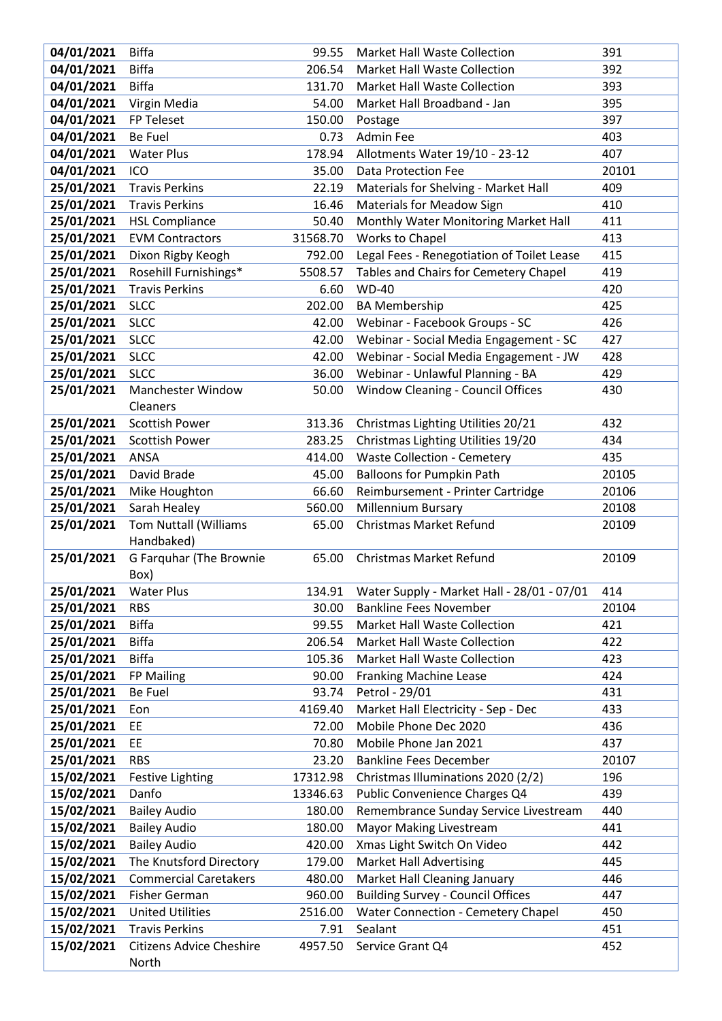| 04/01/2021               | <b>Biffa</b>                     | 99.55                | Market Hall Waste Collection                          | 391          |
|--------------------------|----------------------------------|----------------------|-------------------------------------------------------|--------------|
| 04/01/2021               | <b>Biffa</b>                     | 206.54               | <b>Market Hall Waste Collection</b>                   | 392          |
| 04/01/2021               | <b>Biffa</b>                     | 131.70               | Market Hall Waste Collection                          | 393          |
| 04/01/2021               | Virgin Media                     | 54.00                | Market Hall Broadband - Jan                           | 395          |
| 04/01/2021               | FP Teleset                       | 150.00               | Postage                                               | 397          |
| 04/01/2021               | <b>Be Fuel</b>                   | 0.73                 | Admin Fee                                             | 403          |
| 04/01/2021               | <b>Water Plus</b>                | 178.94               | Allotments Water 19/10 - 23-12                        | 407          |
| 04/01/2021               | ICO                              | 35.00                | <b>Data Protection Fee</b>                            | 20101        |
| 25/01/2021               | <b>Travis Perkins</b>            | 22.19                | Materials for Shelving - Market Hall                  | 409          |
| 25/01/2021               | <b>Travis Perkins</b>            | 16.46                | <b>Materials for Meadow Sign</b>                      | 410          |
| 25/01/2021               | <b>HSL Compliance</b>            | 50.40                | Monthly Water Monitoring Market Hall                  | 411          |
| 25/01/2021               | <b>EVM Contractors</b>           | 31568.70             | Works to Chapel                                       | 413          |
| 25/01/2021               | Dixon Rigby Keogh                | 792.00               | Legal Fees - Renegotiation of Toilet Lease            | 415          |
| 25/01/2021               | Rosehill Furnishings*            | 5508.57              | Tables and Chairs for Cemetery Chapel                 | 419          |
| 25/01/2021               | <b>Travis Perkins</b>            | 6.60                 | <b>WD-40</b>                                          | 420          |
| 25/01/2021               | <b>SLCC</b>                      | 202.00               | <b>BA Membership</b>                                  | 425          |
| 25/01/2021               | <b>SLCC</b>                      | 42.00                | Webinar - Facebook Groups - SC                        | 426          |
| 25/01/2021               | <b>SLCC</b>                      | 42.00                | Webinar - Social Media Engagement - SC                | 427          |
| 25/01/2021               | <b>SLCC</b>                      | 42.00                | Webinar - Social Media Engagement - JW                | 428          |
| 25/01/2021               | <b>SLCC</b>                      | 36.00                | Webinar - Unlawful Planning - BA                      | 429          |
| 25/01/2021               | Manchester Window                | 50.00                | Window Cleaning - Council Offices                     | 430          |
|                          | Cleaners                         |                      |                                                       |              |
| 25/01/2021               | <b>Scottish Power</b>            | 313.36               | Christmas Lighting Utilities 20/21                    | 432          |
| 25/01/2021               | Scottish Power                   | 283.25               | Christmas Lighting Utilities 19/20                    | 434          |
| 25/01/2021               | ANSA                             | 414.00               | <b>Waste Collection - Cemetery</b><br>435             |              |
| 25/01/2021               | David Brade                      | 45.00                | <b>Balloons for Pumpkin Path</b>                      | 20105        |
| 25/01/2021               | Mike Houghton                    | 66.60                | Reimbursement - Printer Cartridge                     | 20106        |
| 25/01/2021               | Sarah Healey                     | 560.00               | <b>Millennium Bursary</b>                             | 20108        |
| 25/01/2021               | <b>Tom Nuttall (Williams</b>     | 65.00                | <b>Christmas Market Refund</b>                        | 20109        |
|                          | Handbaked)                       |                      |                                                       |              |
| 25/01/2021               | G Farquhar (The Brownie          | 65.00                | <b>Christmas Market Refund</b>                        | 20109        |
|                          | Box)                             |                      |                                                       |              |
| 25/01/2021 Water Plus    |                                  |                      | 134.91 Water Supply - Market Hall - 28/01 - 07/01 414 |              |
| 25/01/2021               | <b>RBS</b>                       | 30.00                | <b>Bankline Fees November</b>                         | 20104        |
| 25/01/2021               | <b>Biffa</b>                     | 99.55                | Market Hall Waste Collection                          | 421          |
| 25/01/2021               | <b>Biffa</b>                     | 206.54               | Market Hall Waste Collection                          | 422          |
| 25/01/2021               | <b>Biffa</b>                     | 105.36               | <b>Market Hall Waste Collection</b>                   | 423          |
| 25/01/2021               | FP Mailing                       | 90.00                | <b>Franking Machine Lease</b>                         | 424          |
| 25/01/2021               | Be Fuel                          | 93.74                | Petrol - 29/01                                        | 431          |
| 25/01/2021               | Eon                              | 4169.40              | Market Hall Electricity - Sep - Dec                   | 433          |
| 25/01/2021<br>25/01/2021 | <b>EE</b><br>EE                  | 72.00                | Mobile Phone Dec 2020<br>Mobile Phone Jan 2021        | 436<br>437   |
| 25/01/2021               | <b>RBS</b>                       | 70.80                | <b>Bankline Fees December</b>                         |              |
| 15/02/2021               |                                  | 23.20                | Christmas Illuminations 2020 (2/2)                    | 20107<br>196 |
| 15/02/2021               | <b>Festive Lighting</b><br>Danfo | 17312.98<br>13346.63 | Public Convenience Charges Q4                         | 439          |
| 15/02/2021               | <b>Bailey Audio</b>              | 180.00               | Remembrance Sunday Service Livestream                 | 440          |
| 15/02/2021               | <b>Bailey Audio</b>              | 180.00               | <b>Mayor Making Livestream</b>                        | 441          |
| 15/02/2021               | <b>Bailey Audio</b>              | 420.00               | Xmas Light Switch On Video                            | 442          |
| 15/02/2021               | The Knutsford Directory          | 179.00               | <b>Market Hall Advertising</b>                        | 445          |
| 15/02/2021               | <b>Commercial Caretakers</b>     | 480.00               | Market Hall Cleaning January                          | 446          |
| 15/02/2021               | Fisher German                    | 960.00               | <b>Building Survey - Council Offices</b>              | 447          |
| 15/02/2021               | <b>United Utilities</b>          | 2516.00              | <b>Water Connection - Cemetery Chapel</b>             | 450          |
| 15/02/2021               | <b>Travis Perkins</b>            | 7.91                 | Sealant                                               | 451          |
| 15/02/2021               | <b>Citizens Advice Cheshire</b>  | 4957.50              | Service Grant Q4                                      | 452          |
|                          | North                            |                      |                                                       |              |
|                          |                                  |                      |                                                       |              |